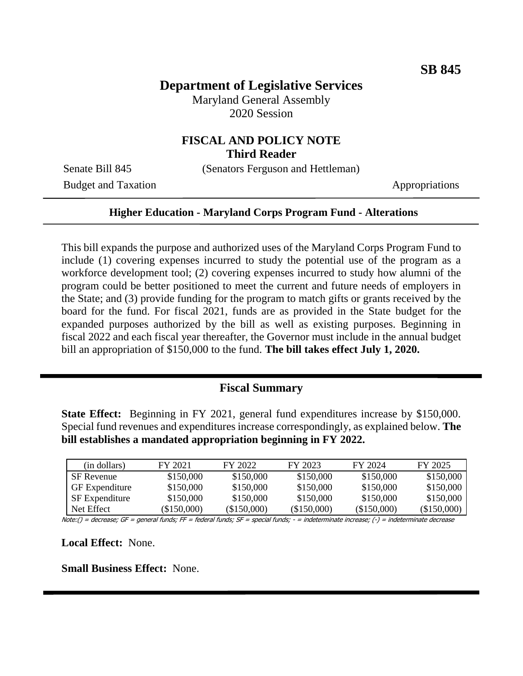# **Department of Legislative Services**

Maryland General Assembly 2020 Session

### **FISCAL AND POLICY NOTE Third Reader**

Senate Bill 845 (Senators Ferguson and Hettleman)

Budget and Taxation Appropriations

#### **Higher Education - Maryland Corps Program Fund - Alterations**

This bill expands the purpose and authorized uses of the Maryland Corps Program Fund to include (1) covering expenses incurred to study the potential use of the program as a workforce development tool; (2) covering expenses incurred to study how alumni of the program could be better positioned to meet the current and future needs of employers in the State; and (3) provide funding for the program to match gifts or grants received by the board for the fund. For fiscal 2021, funds are as provided in the State budget for the expanded purposes authorized by the bill as well as existing purposes. Beginning in fiscal 2022 and each fiscal year thereafter, the Governor must include in the annual budget bill an appropriation of \$150,000 to the fund. **The bill takes effect July 1, 2020.**

### **Fiscal Summary**

**State Effect:** Beginning in FY 2021, general fund expenditures increase by \$150,000. Special fund revenues and expenditures increase correspondingly, as explained below. **The bill establishes a mandated appropriation beginning in FY 2022.**

| (in dollars)          | FY 2021     | FY 2022     | FY 2023    | FY 2024    | FY 2025     |
|-----------------------|-------------|-------------|------------|------------|-------------|
| <b>SF</b> Revenue     | \$150,000   | \$150,000   | \$150,000  | \$150,000  | \$150,000   |
| <b>GF</b> Expenditure | \$150,000   | \$150,000   | \$150,000  | \$150,000  | \$150,000   |
| SF Expenditure        | \$150,000   | \$150,000   | \$150,000  | \$150,000  | \$150,000   |
| Net Effect            | (\$150.000) | (\$150.000) | (S150.000) | (S150,000) | (\$150,000) |

Note:() = decrease; GF = general funds; FF = federal funds; SF = special funds; - = indeterminate increase; (-) = indeterminate decrease

**Local Effect:** None.

**Small Business Effect:** None.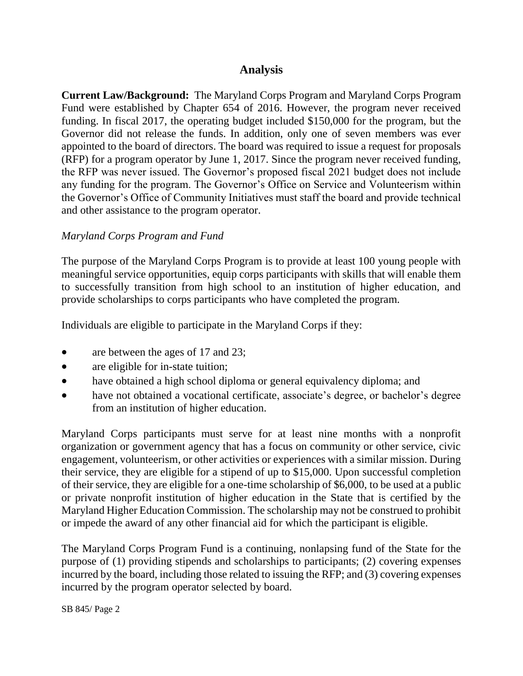## **Analysis**

**Current Law/Background:** The Maryland Corps Program and Maryland Corps Program Fund were established by Chapter 654 of 2016. However, the program never received funding. In fiscal 2017, the operating budget included \$150,000 for the program, but the Governor did not release the funds. In addition, only one of seven members was ever appointed to the board of directors. The board was required to issue a request for proposals (RFP) for a program operator by June 1, 2017. Since the program never received funding, the RFP was never issued. The Governor's proposed fiscal 2021 budget does not include any funding for the program. The Governor's Office on Service and Volunteerism within the Governor's Office of Community Initiatives must staff the board and provide technical and other assistance to the program operator.

#### *Maryland Corps Program and Fund*

The purpose of the Maryland Corps Program is to provide at least 100 young people with meaningful service opportunities, equip corps participants with skills that will enable them to successfully transition from high school to an institution of higher education, and provide scholarships to corps participants who have completed the program.

Individuals are eligible to participate in the Maryland Corps if they:

- are between the ages of 17 and 23;
- are eligible for in-state tuition;
- have obtained a high school diploma or general equivalency diploma; and
- have not obtained a vocational certificate, associate's degree, or bachelor's degree from an institution of higher education.

Maryland Corps participants must serve for at least nine months with a nonprofit organization or government agency that has a focus on community or other service, civic engagement, volunteerism, or other activities or experiences with a similar mission. During their service, they are eligible for a stipend of up to \$15,000. Upon successful completion of their service, they are eligible for a one-time scholarship of \$6,000, to be used at a public or private nonprofit institution of higher education in the State that is certified by the Maryland Higher Education Commission. The scholarship may not be construed to prohibit or impede the award of any other financial aid for which the participant is eligible.

The Maryland Corps Program Fund is a continuing, nonlapsing fund of the State for the purpose of (1) providing stipends and scholarships to participants; (2) covering expenses incurred by the board, including those related to issuing the RFP; and (3) covering expenses incurred by the program operator selected by board.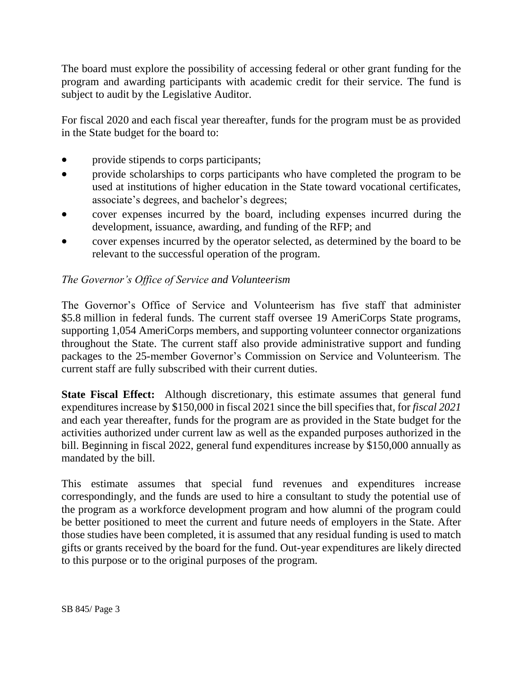The board must explore the possibility of accessing federal or other grant funding for the program and awarding participants with academic credit for their service. The fund is subject to audit by the Legislative Auditor.

For fiscal 2020 and each fiscal year thereafter, funds for the program must be as provided in the State budget for the board to:

- provide stipends to corps participants;
- provide scholarships to corps participants who have completed the program to be used at institutions of higher education in the State toward vocational certificates, associate's degrees, and bachelor's degrees;
- cover expenses incurred by the board, including expenses incurred during the development, issuance, awarding, and funding of the RFP; and
- cover expenses incurred by the operator selected, as determined by the board to be relevant to the successful operation of the program.

### *The Governor's Office of Service and Volunteerism*

The Governor's Office of Service and Volunteerism has five staff that administer \$5.8 million in federal funds. The current staff oversee 19 AmeriCorps State programs, supporting 1,054 AmeriCorps members, and supporting volunteer connector organizations throughout the State. The current staff also provide administrative support and funding packages to the 25-member Governor's Commission on Service and Volunteerism. The current staff are fully subscribed with their current duties.

**State Fiscal Effect:** Although discretionary, this estimate assumes that general fund expenditures increase by \$150,000 in fiscal 2021 since the bill specifies that, for *fiscal 2021* and each year thereafter, funds for the program are as provided in the State budget for the activities authorized under current law as well as the expanded purposes authorized in the bill. Beginning in fiscal 2022, general fund expenditures increase by \$150,000 annually as mandated by the bill.

This estimate assumes that special fund revenues and expenditures increase correspondingly, and the funds are used to hire a consultant to study the potential use of the program as a workforce development program and how alumni of the program could be better positioned to meet the current and future needs of employers in the State. After those studies have been completed, it is assumed that any residual funding is used to match gifts or grants received by the board for the fund. Out-year expenditures are likely directed to this purpose or to the original purposes of the program.